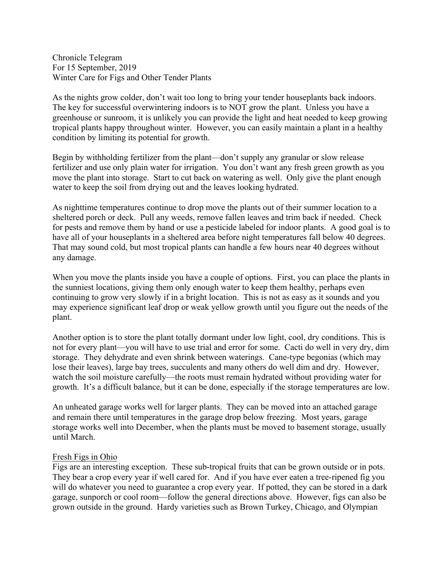Chronicle Telegram For 15 September, 2019 Winter Care for Figs and Other Tender Plants

As the nights grow colder, don't wait too long to bring your tender houseplants back indoors. The key for successful overwintering indoors is to NOT grow the plant. Unless you have a greenhouse or sunroom, it is unlikely you can provide the light and heat needed to keep growing tropical plants happy throughout winter. However, you can easily maintain a plant in a healthy condition by limiting its potential for growth.

Begin by withholding fertilizer from the plant—don't supply any granular or slow release fertilizer and use only plain water for irrigation. You don't want any fresh green growth as you move the plant into storage. Start to cut back on watering as well. Only give the plant enough water to keep the soil from drying out and the leaves looking hydrated.

As nighttime temperatures continue to drop move the plants out of their summer location to a sheltered porch or deck. Pull any weeds, remove fallen leaves and trim back if needed. Check for pests and remove them by hand or use a pesticide labeled for indoor plants. A good goal is to have all of your houseplants in a sheltered area before night temperatures fall below 40 degrees. That may sound cold, but most tropical plants can handle a few hours near 40 degrees without any damage.

When you move the plants inside you have a couple of options. First, you can place the plants in the sunniest locations, giving them only enough water to keep them healthy, perhaps even continuing to grow very slowly if in a bright location. This is not as easy as it sounds and you may experience significant leaf drop or weak yellow growth until you figure out the needs of the plant.

Another option is to store the plant totally dormant under low light, cool, dry conditions. This is not for every plant—you will have to use trial and error for some. Cacti do well in very dry, dim storage. They dehydrate and even shrink between waterings. Cane-type begonias (which may lose their leaves), large bay trees, succulents and many others do well dim and dry. However, watch the soil moisture carefully—the roots must remain hydrated without providing water for growth. It's a difficult balance, but it can be done, especially if the storage temperatures are low.

An unheated garage works well for larger plants. They can be moved into an attached garage and remain there until temperatures in the garage drop below freezing. Most years, garage storage works well into December, when the plants must be moved to basement storage, usually until March.

## Fresh Figs in Ohio

Figs are an interesting exception. These sub-tropical fruits that can be grown outside or in pots. They bear a crop every year if well cared for. And if you have ever eaten a tree-ripened fig you will do whatever you need to guarantee a crop every year. If potted, they can be stored in a dark garage, sunporch or cool room—follow the general directions above. However, figs can also be grown outside in the ground. Hardy varieties such as Brown Turkey, Chicago, and Olympian